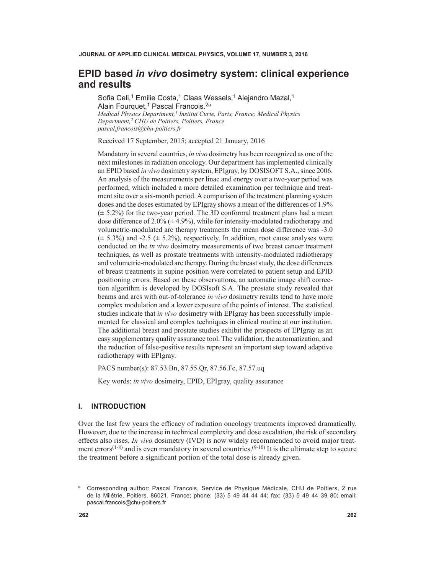# **EPID based** *in vivo* **dosimetry system: clinical experience and results**

Sofia Celi,<sup>1</sup> Emilie Costa,<sup>1</sup> Claas Wessels,<sup>1</sup> Alejandro Mazal,<sup>1</sup> Alain Fourquet,<sup>1</sup> Pascal Francois.<sup>2a</sup> *Medical Physics Department,<sup>1</sup> Institut Curie, Paris, France; Medical Physics Department,2 CHU de Poitiers, Poitiers, France [pascal.francois@chu-poitiers.fr](mailto:pascal.francois@chu-poitiers.fr)*

Received 17 September, 2015; accepted 21 January, 2016

Mandatory in several countries, *in vivo* dosimetry has been recognized as one of the next milestones in radiation oncology. Our department has implemented clinically an EPID based *in vivo* dosimetry system, EPIgray, by DOSISOFT S.A., since 2006. An analysis of the measurements per linac and energy over a two-year period was performed, which included a more detailed examination per technique and treatment site over a six-month period. A comparison of the treatment planning system doses and the doses estimated by EPIgray shows a mean of the differences of 1.9%  $(\pm 5.2\%)$  for the two-year period. The 3D conformal treatment plans had a mean dose difference of  $2.0\%$  ( $\pm$  4.9%), while for intensity-modulated radiotherapy and volumetric-modulated arc therapy treatments the mean dose difference was -3.0  $(\pm 5.3\%)$  and -2.5  $(\pm 5.2\%)$ , respectively. In addition, root cause analyses were conducted on the *in vivo* dosimetry measurements of two breast cancer treatment techniques, as well as prostate treatments with intensity-modulated radiotherapy and volumetric-modulated arc therapy. During the breast study, the dose differences of breast treatments in supine position were correlated to patient setup and EPID positioning errors. Based on these observations, an automatic image shift correction algorithm is developed by DOSIsoft S.A. The prostate study revealed that beams and arcs with out-of-tolerance *in vivo* dosimetry results tend to have more complex modulation and a lower exposure of the points of interest. The statistical studies indicate that *in vivo* dosimetry with EPIgray has been successfully implemented for classical and complex techniques in clinical routine at our institution. The additional breast and prostate studies exhibit the prospects of EPIgray as an easy supplementary quality assurance tool. The validation, the automatization, and the reduction of false-positive results represent an important step toward adaptive radiotherapy with EPIgray.

PACS number(s): 87.53.Bn, 87.55.Qr, 87.56.Fc, 87.57.uq

Key words: *in vivo* dosimetry, EPID, EPIgray, quality assurance

# **I. INTRODUCTION**

Over the last few years the efficacy of radiation oncology treatments improved dramatically. However, due to the increase in technical complexity and dose escalation, the risk of secondary effects also rises. *In vivo* dosimetry (IVD) is now widely recommended to avoid major treatment errors<sup> $(1-8)$ </sup> and is even mandatory in several countries.<sup>(9-10)</sup> It is the ultimate step to secure the treatment before a significant portion of the total dose is already given.

<sup>a</sup> Corresponding author: Pascal Francois, Service de Physique Médicale, CHU de Poitiers, 2 rue de la Milétrie, Poitiers, 86021, France; phone: (33) 5 49 44 44 44; fax: (33) 5 49 44 39 80; email: [pascal.francois@chu-poitiers.fr](mailto:pascal.francois@chu-poitiers.fr)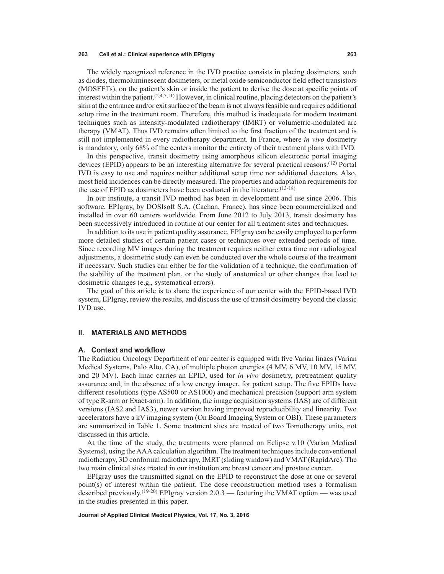The widely recognized reference in the IVD practice consists in placing dosimeters, such as diodes, thermoluminescent dosimeters, or metal oxide semiconductor field effect transistors (MOSFETs), on the patient's skin or inside the patient to derive the dose at specific points of interest within the patient.  $(2,4,7,11)$  However, in clinical routine, placing detectors on the patient's skin at the entrance and/or exit surface of the beam is not always feasible and requires additional setup time in the treatment room. Therefore, this method is inadequate for modern treatment techniques such as intensity-modulated radiotherapy (IMRT) or volumetric-modulated arc therapy (VMAT). Thus IVD remains often limited to the first fraction of the treatment and is still not implemented in every radiotherapy department. In France, where *in vivo* dosimetry is mandatory, only 68% of the centers monitor the entirety of their treatment plans with IVD.

In this perspective, transit dosimetry using amorphous silicon electronic portal imaging devices (EPID) appears to be an interesting alternative for several practical reasons.(12) Portal IVD is easy to use and requires neither additional setup time nor additional detectors. Also, most field incidences can be directly measured. The properties and adaptation requirements for the use of EPID as dosimeters have been evaluated in the literature.(13-18)

In our institute, a transit IVD method has been in development and use since 2006. This software, EPIgray, by DOSIsoft S.A. (Cachan, France), has since been commercialized and installed in over 60 centers worldwide. From June 2012 to July 2013, transit dosimetry has been successively introduced in routine at our center for all treatment sites and techniques.

In addition to its use in patient quality assurance, EPIgray can be easily employed to perform more detailed studies of certain patient cases or techniques over extended periods of time. Since recording MV images during the treatment requires neither extra time nor radiological adjustments, a dosimetric study can even be conducted over the whole course of the treatment if necessary. Such studies can either be for the validation of a technique, the confirmation of the stability of the treatment plan, or the study of anatomical or other changes that lead to dosimetric changes (e.g., systematical errors).

The goal of this article is to share the experience of our center with the EPID-based IVD system, EPIgray, review the results, and discuss the use of transit dosimetry beyond the classic IVD use.

### **II. MATERIALS AND METHODS**

## **A. Context and workflow**

The Radiation Oncology Department of our center is equipped with five Varian linacs (Varian Medical Systems, Palo Alto, CA), of multiple photon energies (4 MV, 6 MV, 10 MV, 15 MV, and 20 MV). Each linac carries an EPID, used for *in vivo* dosimetry, pretreatment quality assurance and, in the absence of a low energy imager, for patient setup. The five EPIDs have different resolutions (type AS500 or AS1000) and mechanical precision (support arm system of type R-arm or Exact-arm). In addition, the image acquisition systems (IAS) are of different versions (IAS2 and IAS3), newer version having improved reproducibility and linearity. Two accelerators have a kV imaging system (On Board Imaging System or OBI). These parameters are summarized in Table 1. Some treatment sites are treated of two Tomotherapy units, not discussed in this article.

At the time of the study, the treatments were planned on Eclipse v.10 (Varian Medical Systems), using the AAA calculation algorithm. The treatment techniques include conventional radiotherapy, 3D conformal radiotherapy, IMRT (sliding window) and VMAT (RapidArc). The two main clinical sites treated in our institution are breast cancer and prostate cancer.

EPIgray uses the transmitted signal on the EPID to reconstruct the dose at one or several point(s) of interest within the patient. The dose reconstruction method uses a formalism described previously.<sup>(19-20)</sup> EPIgray version 2.0.3 — featuring the VMAT option — was used in the studies presented in this paper.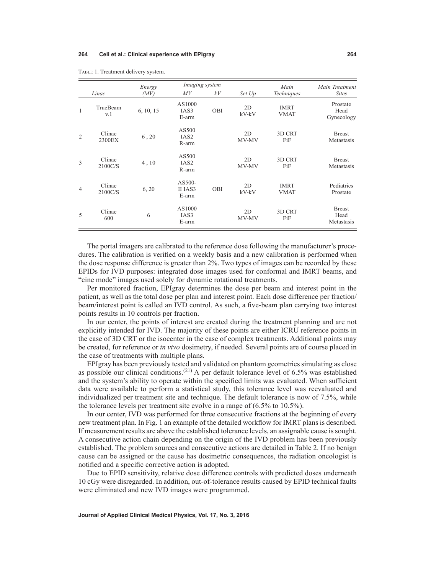|                |                   | Energy    | <i>Imaging system</i>              |     |                   | Main                       | Main Treatment                      |  |
|----------------|-------------------|-----------|------------------------------------|-----|-------------------|----------------------------|-------------------------------------|--|
|                | Linac             | (MV)      | M V                                | kV  | Set Up            | Techniques                 | <b>Sites</b>                        |  |
| $\mathbf{1}$   | TrueBeam<br>v.1   | 6, 10, 15 | AS1000<br>IAS3<br>E-arm            | OBI | 2D<br>$kV$ - $kV$ | <b>IMRT</b><br><b>VMAT</b> | Prostate<br>Head<br>Gynecology      |  |
| $\overline{2}$ | Clinac<br>2300EX  | 6, 20     | AS500<br>IAS <sub>2</sub><br>R-arm |     | 2D<br>MV-MV       | 3D CRT<br>FiF              | <b>Breast</b><br>Metastasis         |  |
| 3              | Clinac<br>2100C/S | 4, 10     | AS500<br>IAS <sub>2</sub><br>R-arm |     | 2D<br>MV-MV       | 3D CRT<br>FiF              | <b>Breast</b><br>Metastasis         |  |
| $\overline{4}$ | Clinac<br>2100C/S | 6, 20     | AS500-<br>II IAS3<br>E-arm         | OBI | 2D<br>$kV$ - $kV$ | <b>IMRT</b><br><b>VMAT</b> | Pediatrics<br>Prostate              |  |
| 5              | Clinac<br>600     | 6         | AS1000<br>IAS3<br>E-arm            |     | 2D<br>MV-MV       | 3D CRT<br>FiF              | <b>Breast</b><br>Head<br>Metastasis |  |

Table 1. Treatment delivery system.

The portal imagers are calibrated to the reference dose following the manufacturer's procedures. The calibration is verified on a weekly basis and a new calibration is performed when the dose response difference is greater than 2%. Two types of images can be recorded by these EPIDs for IVD purposes: integrated dose images used for conformal and IMRT beams, and "cine mode" images used solely for dynamic rotational treatments.

Per monitored fraction, EPIgray determines the dose per beam and interest point in the patient, as well as the total dose per plan and interest point. Each dose difference per fraction/ beam/interest point is called an IVD control. As such, a five-beam plan carrying two interest points results in 10 controls per fraction.

In our center, the points of interest are created during the treatment planning and are not explicitly intended for IVD. The majority of these points are either ICRU reference points in the case of 3D CRT or the isocenter in the case of complex treatments. Additional points may be created, for reference or *in vivo* dosimetry, if needed. Several points are of course placed in the case of treatments with multiple plans.

EPIgray has been previously tested and validated on phantom geometries simulating as close as possible our clinical conditions.<sup>(21)</sup> A per default tolerance level of 6.5% was established and the system's ability to operate within the specified limits was evaluated. When sufficient data were available to perform a statistical study, this tolerance level was reevaluated and individualized per treatment site and technique. The default tolerance is now of 7.5%, while the tolerance levels per treatment site evolve in a range of (6.5% to 10.5%).

In our center, IVD was performed for three consecutive fractions at the beginning of every new treatment plan. In Fig. 1 an example of the detailed workflow for IMRT plans is described. If measurement results are above the established tolerance levels, an assignable cause is sought. A consecutive action chain depending on the origin of the IVD problem has been previously established. The problem sources and consecutive actions are detailed in Table 2. If no benign cause can be assigned or the cause has dosimetric consequences, the radiation oncologist is notified and a specific corrective action is adopted.

Due to EPID sensitivity, relative dose difference controls with predicted doses underneath 10 cGy were disregarded. In addition, out-of-tolerance results caused by EPID technical faults were eliminated and new IVD images were programmed.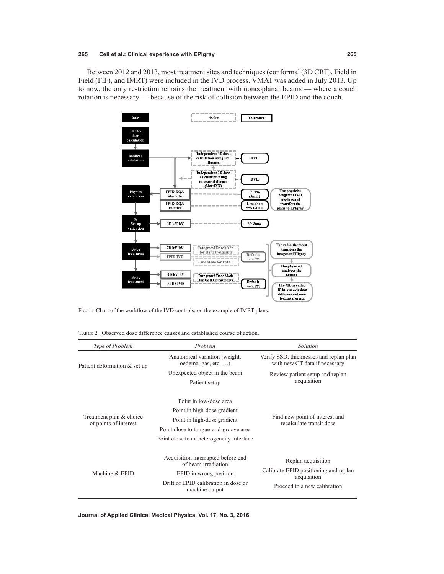Between 2012 and 2013, most treatment sites and techniques (conformal (3D CRT), Field in Field (FiF), and IMRT) were included in the IVD process. VMAT was added in July 2013. Up to now, the only restriction remains the treatment with noncoplanar beams — where a couch rotation is necessary — because of the risk of collision between the EPID and the couch.



Fig. 1. Chart of the workflow of the IVD controls, on the example of IMRT plans.

Table 2. Observed dose difference causes and established course of action.

| Type of Problem                                  | Problem                                                                                                                                                                    | Solution                                                                                                   |  |  |
|--------------------------------------------------|----------------------------------------------------------------------------------------------------------------------------------------------------------------------------|------------------------------------------------------------------------------------------------------------|--|--|
| Patient deformation & set up                     | Anatomical variation (weight,<br>oedema, gas, etc)                                                                                                                         | Verify SSD, thicknesses and replan plan<br>with new CT data if necessary                                   |  |  |
|                                                  | Unexpected object in the beam                                                                                                                                              | Review patient setup and replan                                                                            |  |  |
|                                                  | Patient setup                                                                                                                                                              | acquisition                                                                                                |  |  |
| Treatment plan & choice<br>of points of interest | Point in low-dose area<br>Point in high-dose gradient<br>Point in high-dose gradient<br>Point close to tongue-and-groove area<br>Point close to an heterogeneity interface | Find new point of interest and<br>recalculate transit dose                                                 |  |  |
| Machine & EPID                                   | Acquisition interrupted before end<br>of beam irradiation<br>EPID in wrong position<br>Drift of EPID calibration in dose or<br>machine output                              | Replan acquisition<br>Calibrate EPID positioning and replan<br>acquisition<br>Proceed to a new calibration |  |  |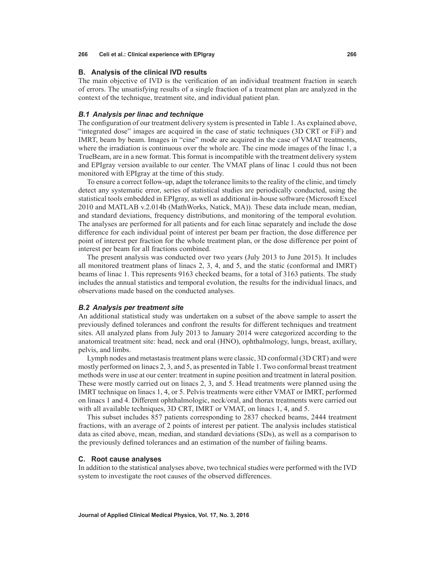# **B. Analysis of the clinical IVD results**

The main objective of IVD is the verification of an individual treatment fraction in search of errors. The unsatisfying results of a single fraction of a treatment plan are analyzed in the context of the technique, treatment site, and individual patient plan.

## *B.1 Analysis per linac and technique*

The configuration of our treatment delivery system is presented in Table 1. As explained above, "integrated dose" images are acquired in the case of static techniques (3D CRT or FiF) and IMRT, beam by beam. Images in "cine" mode are acquired in the case of VMAT treatments, where the irradiation is continuous over the whole arc. The cine mode images of the linac 1, a TrueBeam, are in a new format. This format is incompatible with the treatment delivery system and EPIgray version available to our center. The VMAT plans of linac 1 could thus not been monitored with EPIgray at the time of this study.

To ensure a correct follow-up, adapt the tolerance limits to the reality of the clinic, and timely detect any systematic error, series of statistical studies are periodically conducted, using the statistical tools embedded in EPIgray, as well as additional in-house software (Microsoft Excel 2010 and MATLAB v.2.014b (MathWorks, Natick, MA)). These data include mean, median, and standard deviations, frequency distributions, and monitoring of the temporal evolution. The analyses are performed for all patients and for each linac separately and include the dose difference for each individual point of interest per beam per fraction, the dose difference per point of interest per fraction for the whole treatment plan, or the dose difference per point of interest per beam for all fractions combined.

The present analysis was conducted over two years (July 2013 to June 2015). It includes all monitored treatment plans of linacs 2, 3, 4, and 5, and the static (conformal and IMRT) beams of linac 1. This represents 9163 checked beams, for a total of 3163 patients. The study includes the annual statistics and temporal evolution, the results for the individual linacs, and observations made based on the conducted analyses.

## *B.2 Analysis per treatment site*

An additional statistical study was undertaken on a subset of the above sample to assert the previously defined tolerances and confront the results for different techniques and treatment sites. All analyzed plans from July 2013 to January 2014 were categorized according to the anatomical treatment site: head, neck and oral (HNO), ophthalmology, lungs, breast, axillary, pelvis, and limbs.

Lymph nodes and metastasis treatment plans were classic, 3D conformal (3D CRT) and were mostly performed on linacs 2, 3, and 5, as presented in Table 1. Two conformal breast treatment methods were in use at our center: treatment in supine position and treatment in lateral position. These were mostly carried out on linacs 2, 3, and 5. Head treatments were planned using the IMRT technique on linacs 1, 4, or 5. Pelvis treatments were either VMAT or IMRT, performed on linacs 1 and 4. Different ophthalmologic, neck/oral, and thorax treatments were carried out with all available techniques, 3D CRT, IMRT or VMAT, on linacs 1, 4, and 5.

This subset includes 857 patients corresponding to 2837 checked beams, 2444 treatment fractions, with an average of 2 points of interest per patient. The analysis includes statistical data as cited above, mean, median, and standard deviations (SDs), as well as a comparison to the previously defined tolerances and an estimation of the number of failing beams.

### **C. Root cause analyses**

In addition to the statistical analyses above, two technical studies were performed with the IVD system to investigate the root causes of the observed differences.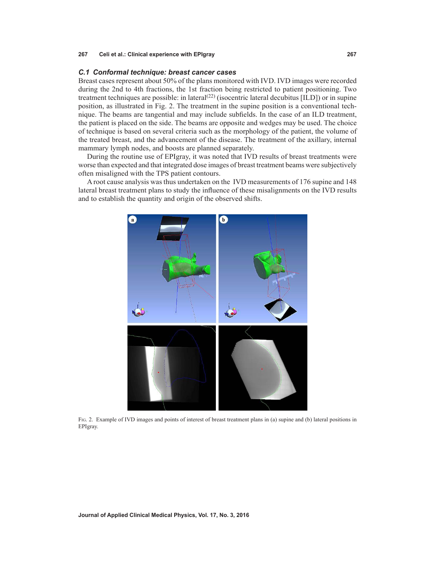# *C.1 Conformal technique: breast cancer cases*

Breast cases represent about 50% of the plans monitored with IVD. IVD images were recorded during the 2nd to 4th fractions, the 1st fraction being restricted to patient positioning. Two treatment techniques are possible: in lateral<sup>(22)</sup> (isocentric lateral decubitus [ILD]) or in supine position, as illustrated in Fig. 2. The treatment in the supine position is a conventional technique. The beams are tangential and may include subfields. In the case of an ILD treatment, the patient is placed on the side. The beams are opposite and wedges may be used. The choice of technique is based on several criteria such as the morphology of the patient, the volume of the treated breast, and the advancement of the disease. The treatment of the axillary, internal mammary lymph nodes, and boosts are planned separately.

During the routine use of EPIgray, it was noted that IVD results of breast treatments were worse than expected and that integrated dose images of breast treatment beams were subjectively often misaligned with the TPS patient contours.

A root cause analysis was thus undertaken on the IVD measurements of 176 supine and 148 lateral breast treatment plans to study the influence of these misalignments on the IVD results and to establish the quantity and origin of the observed shifts.



Fig. 2. Example of IVD images and points of interest of breast treatment plans in (a) supine and (b) lateral positions in EPIgray.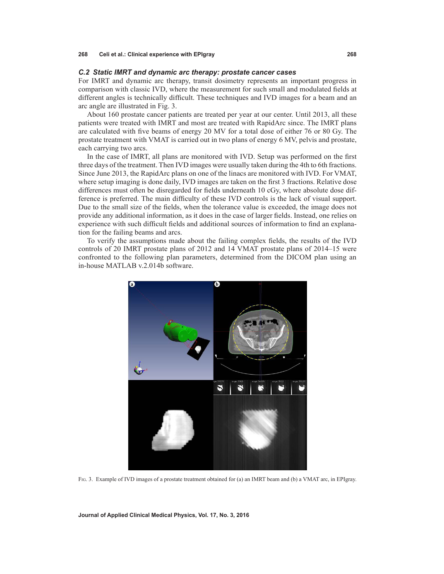#### *C.2 Static IMRT and dynamic arc therapy: prostate cancer cases*

For IMRT and dynamic arc therapy, transit dosimetry represents an important progress in comparison with classic IVD, where the measurement for such small and modulated fields at different angles is technically difficult. These techniques and IVD images for a beam and an arc angle are illustrated in Fig. 3.

About 160 prostate cancer patients are treated per year at our center. Until 2013, all these patients were treated with IMRT and most are treated with RapidArc since. The IMRT plans are calculated with five beams of energy 20 MV for a total dose of either 76 or 80 Gy. The prostate treatment with VMAT is carried out in two plans of energy 6 MV, pelvis and prostate, each carrying two arcs.

In the case of IMRT, all plans are monitored with IVD. Setup was performed on the first three days of the treatment. Then IVD images were usually taken during the 4th to 6th fractions. Since June 2013, the RapidArc plans on one of the linacs are monitored with IVD. For VMAT, where setup imaging is done daily, IVD images are taken on the first 3 fractions. Relative dose differences must often be disregarded for fields underneath 10 cGy, where absolute dose difference is preferred. The main difficulty of these IVD controls is the lack of visual support. Due to the small size of the fields, when the tolerance value is exceeded, the image does not provide any additional information, as it does in the case of larger fields. Instead, one relies on experience with such difficult fields and additional sources of information to find an explanation for the failing beams and arcs.

To verify the assumptions made about the failing complex fields, the results of the IVD controls of 20 IMRT prostate plans of 2012 and 14 VMAT prostate plans of 2014–15 were confronted to the following plan parameters, determined from the DICOM plan using an in-house MATLAB v.2.014b software.



Fig. 3. Example of IVD images of a prostate treatment obtained for (a) an IMRT beam and (b) a VMAT arc, in EPIgray.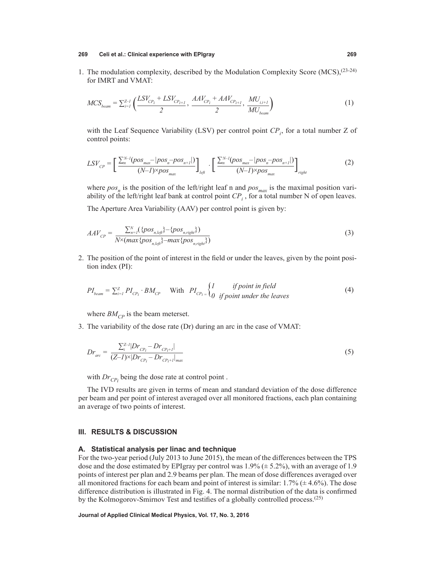1. The modulation complexity, described by the Modulation Complexity Score (MCS),(23-24) for IMRT and VMAT:

$$
MCS_{beam} = \sum_{i=1}^{Z-1} \left( \frac{LSV_{CP_i} + LSV_{CP_{i+1}}}{2}, \frac{AAV_{CP_i} + AAV_{CP_{i+1}}}{2}, \frac{MU_{i,i+1}}{MU_{beam}} \right)
$$
 (1)

with the Leaf Sequence Variability (LSV) per control point  $CP_i$ , for a total number Z of control points:

$$
LSV_{CP} = \left[\frac{\sum_{n}^{N-1} (pos_{max} - |pos_{n} - pos_{n+1}|)}{(N-1)\times pos_{max}}\right]_{left} \cdot \left[\frac{\sum_{n}^{N-1} (pos_{max} - |pos_{n} - pos_{n+1}|)}{(N-1)\times pos_{max}}\right]_{right}
$$
(2)

where  $pos_n$  is the position of the left/right leaf n and  $pos_{max}$  is the maximal position variability of the left/right leaf bank at control point  $CP_i$ , for a total number N of open leaves.

The Aperture Area Variability (AAV) per control point is given by:

$$
AAV_{CP} = \frac{\sum_{n=1}^{N} (\{pos_{n, left}\} - \{pos_{n, right}\})}{N \times (max\{pos_{n, left}\} - max\{pos_{n, right}\})}
$$
(3)

2. The position of the point of interest in the field or under the leaves, given by the point position index (PI):

$$
PI_{beam} = \sum_{i=1}^{Z} PI_{CP_i} \cdot BM_{CP} \quad \text{With} \quad PI_{CP_i} = \begin{cases} I & \text{if point in field} \\ 0 & \text{if point under the leaves} \end{cases} \tag{4}
$$

where  $BM_{CP}$  is the beam meterset.

3. The variability of the dose rate (Dr) during an arc in the case of VMAT:

$$
Dr_{\text{arc}} = \frac{\sum_{i}^{Z-1} |Dr_{\text{CP}_i} - Dr_{\text{CP}_i+1}|}{(Z-1) \times |Dr_{\text{CP}_i} - Dr_{\text{CP}_i+1}|_{\text{max}}}
$$
(5)

with  $Dr_{CP_i}$  being the dose rate at control point.

The IVD results are given in terms of mean and standard deviation of the dose difference per beam and per point of interest averaged over all monitored fractions, each plan containing an average of two points of interest.

# **III. RESULTS & DISCUSSION**

### **A. Statistical analysis per linac and technique**

For the two-year period (July 2013 to June 2015), the mean of the differences between the TPS dose and the dose estimated by EPIgray per control was  $1.9\%$  ( $\pm$  5.2%), with an average of 1.9 points of interest per plan and 2.9 beams per plan. The mean of dose differences averaged over all monitored fractions for each beam and point of interest is similar:  $1.7\%$  ( $\pm$  4.6%). The dose difference distribution is illustrated in Fig. 4. The normal distribution of the data is confirmed by the Kolmogorov-Smirnov Test and testifies of a globally controlled process.<sup>(25)</sup>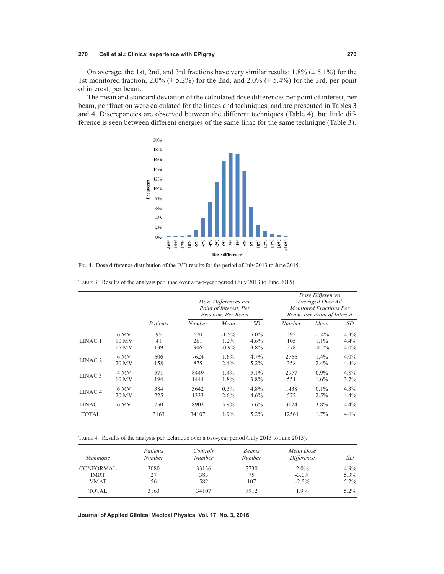On average, the 1st, 2nd, and 3rd fractions have very similar results:  $1.8\%$  ( $\pm$  5.1%) for the 1st monitored fraction,  $2.0\%$  ( $\pm$  5.2%) for the 2nd, and  $2.0\%$  ( $\pm$  5.4%) for the 3rd, per point of interest, per beam.

The mean and standard deviation of the calculated dose differences per point of interest, per beam, per fraction were calculated for the linacs and techniques, and are presented in Tables 3 and 4. Discrepancies are observed between the different techniques (Table 4), but little difference is seen between different energies of the same linac for the same technique (Table 3).



Fig. 4. Dose difference distribution of the IVD results for the period of July 2013 to June 2015.

|                    |       |          | Dose Differences Per<br>Point of Interest, Per<br>Fraction, Per Beam |          |         | Dose Differences<br>Averaged Over All<br><b>Monitored Fractions Per</b><br>Beam, Per Point of Interest |          |         |
|--------------------|-------|----------|----------------------------------------------------------------------|----------|---------|--------------------------------------------------------------------------------------------------------|----------|---------|
|                    |       | Patients | Number                                                               | Mean     | SD      | Number                                                                                                 | Mean     | SD      |
| LINAC <sub>1</sub> | 6 MV  | 95       | 670                                                                  | $-1.5\%$ | $5.0\%$ | 292                                                                                                    | $-1.4\%$ | $4.3\%$ |
|                    | 10 MV | 41       | 261                                                                  | $1.2\%$  | $4.6\%$ | 105                                                                                                    | $1.1\%$  | 4.4%    |
|                    | 15 MV | 139      | 906                                                                  | $-0.9\%$ | 3.8%    | 378                                                                                                    | $-0.5\%$ | $4.0\%$ |
| LINAC <sub>2</sub> | 6 MV  | 606      | 7624                                                                 | 1.6%     | 4.7%    | 2766                                                                                                   | $1.4\%$  | $4.0\%$ |
|                    | 20 MV | 158      | 875                                                                  | 2.4%     | $5.2\%$ | 358                                                                                                    | 2.4%     | 4.4%    |
| LINAC <sub>3</sub> | 4 MV  | 571      | 8449                                                                 | $1.4\%$  | $5.1\%$ | 2977                                                                                                   | $0.9\%$  | 4.8%    |
|                    | 10 MV | 194      | 1444                                                                 | 1.8%     | 3.8%    | 551                                                                                                    | $1.6\%$  | 3.7%    |
| LINAC <sub>4</sub> | 6 MV  | 384      | 3642                                                                 | $0.3\%$  | 4.8%    | 1438                                                                                                   | $0.1\%$  | $4.3\%$ |
|                    | 20 MV | 225      | 1333                                                                 | 2.6%     | $4.6\%$ | 572                                                                                                    | 2.5%     | $4.4\%$ |
| LINAC <sub>5</sub> | 6 MV  | 750      | 8903                                                                 | 3.9%     | $5.6\%$ | 3124                                                                                                   | 3.8%     | 4.4%    |
| <b>TOTAL</b>       |       | 3163     | 34107                                                                | 1.9%     | 5.2%    | 12561                                                                                                  | 1.7%     | $4.6\%$ |

Table 3. Results of the analysis per linac over a two-year period (July 2013 to June 2015).

Table 4. Results of the analysis per technique over a two-year period (July 2013 to June 2015).

| Technique                       | Patients<br>Number | Controls<br>Number | <b>Beams</b><br>Number | Mean Dose<br>Difference | SD           |
|---------------------------------|--------------------|--------------------|------------------------|-------------------------|--------------|
| <b>CONFORMAL</b><br><b>IMRT</b> | 3080<br>27         | 33136<br>383       | 7730<br>75             | $2.0\%$<br>$-3.0\%$     | 4.9%<br>5.3% |
| <b>VMAT</b>                     | 56                 | 582                | 107                    | $-2.5\%$                | $5.2\%$      |
| TOTAL.                          | 3163               | 34107              | 7912                   | $1.9\%$                 | $5.2\%$      |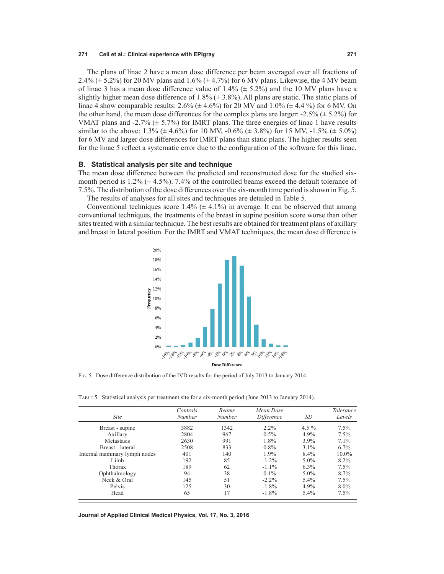The plans of linac 2 have a mean dose difference per beam averaged over all fractions of 2.4% ( $\pm$  5.2%) for 20 MV plans and 1.6% ( $\pm$  4.7%) for 6 MV plans. Likewise, the 4 MV beam of linac 3 has a mean dose difference value of  $1.4\%$  ( $\pm$  5.2%) and the 10 MV plans have a slightly higher mean dose difference of 1.8% ( $\pm$  3.8%). All plans are static. The static plans of linac 4 show comparable results:  $2.6\%$  ( $\pm$  4.6%) for 20 MV and 1.0% ( $\pm$  4.4 %) for 6 MV. On the other hand, the mean dose differences for the complex plans are larger:  $-2.5\%$  ( $\pm$  5.2%) for VMAT plans and -2.7%  $(\pm 5.7\%)$  for IMRT plans. The three energies of linac 1 have results similar to the above:  $1.3\%$  ( $\pm$  4.6%) for 10 MV, -0.6% ( $\pm$  3.8%) for 15 MV, -1.5% ( $\pm$  5.0%) for 6 MV and larger dose differences for IMRT plans than static plans. The higher results seen for the linac 5 reflect a systematic error due to the configuration of the software for this linac.

#### **B. Statistical analysis per site and technique**

The mean dose difference between the predicted and reconstructed dose for the studied sixmonth period is 1.2% ( $\pm$  4.5%). 7.4% of the controlled beams exceed the default tolerance of 7.5%. The distribution of the dose differences over the six-month time period is shown in Fig. 5. The results of analyses for all sites and techniques are detailed in Table 5.

Conventional techniques score  $1.4\%$  ( $\pm$  4.1%) in average. It can be observed that among conventional techniques, the treatments of the breast in supine position score worse than other sites treated with a similar technique. The best results are obtained for treatment plans of axillary and breast in lateral position. For the IMRT and VMAT techniques, the mean dose difference is



Fig. 5. Dose difference distribution of the IVD results for the period of July 2013 to January 2014.

Table 5. Statistical analysis per treatment site for a six-month period (June 2013 to January 2014).

| <i>Site</i>                  | Controls<br>Number | <b>Beams</b><br>Number | Mean Dose<br>Difference | SD      | <b>Tolerance</b><br>Levels |
|------------------------------|--------------------|------------------------|-------------------------|---------|----------------------------|
| Breast - supine              | 3882               | 1342                   | $2.2\%$                 | $4.5\%$ | 7.5%                       |
| Axillary                     | 2804               | 967                    | $0.5\%$                 | 4.9%    | 7.5%                       |
| Metastasis                   | 2630               | 991                    | 1.8%                    | 3.9%    | $7.1\%$                    |
| Breast - lateral             | 2508               | 833                    | $0.8\%$                 | $3.1\%$ | $6.7\%$                    |
| Internal mammary lymph nodes | 401                | 140                    | 1.9%                    | 8.4%    | $10.0\%$                   |
| Limb                         | 192                | 85                     | $-1.2\%$                | $5.0\%$ | 8.2%                       |
| Thorax                       | 189                | 62                     | $-1.1\%$                | $6.3\%$ | 7.5%                       |
| Ophthalmology                | 94                 | 38                     | $0.1\%$                 | $5.0\%$ | 8.7%                       |
| Neck & Oral                  | 145                | 51                     | $-2.2\%$                | 5.4%    | 7.5%                       |
| Pelvis                       | 125                | 30                     | $-1.8\%$                | 4.9%    | $8.0\%$                    |
| Head                         | 65                 | 17                     | $-1.8\%$                | $5.4\%$ | 7.5%                       |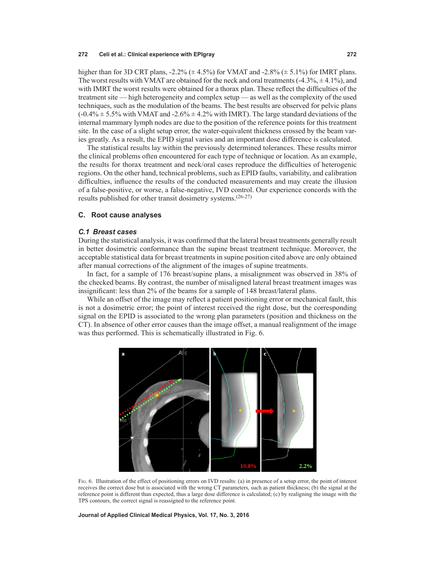higher than for 3D CRT plans,  $-2.2\%$  ( $\pm 4.5\%$ ) for VMAT and  $-2.8\%$  ( $\pm 5.1\%$ ) for IMRT plans. The worst results with VMAT are obtained for the neck and oral treatments  $(-4.3\%, \pm 4.1\%)$ , and with IMRT the worst results were obtained for a thorax plan. These reflect the difficulties of the treatment site — high heterogeneity and complex setup — as well as the complexity of the used techniques, such as the modulation of the beams. The best results are observed for pelvic plans  $(-0.4\% \pm 5.5\%$  with VMAT and  $-2.6\% \pm 4.2\%$  with IMRT). The large standard deviations of the internal mammary lymph nodes are due to the position of the reference points for this treatment site. In the case of a slight setup error, the water-equivalent thickness crossed by the beam varies greatly. As a result, the EPID signal varies and an important dose difference is calculated.

The statistical results lay within the previously determined tolerances. These results mirror the clinical problems often encountered for each type of technique or location. As an example, the results for thorax treatment and neck/oral cases reproduce the difficulties of heterogenic regions. On the other hand, technical problems, such as EPID faults, variability, and calibration difficulties, influence the results of the conducted measurements and may create the illusion of a false-positive, or worse, a false-negative, IVD control. Our experience concords with the results published for other transit dosimetry systems.(26-27)

# **C. Root cause analyses**

## *C.1 Breast cases*

During the statistical analysis, it was confirmed that the lateral breast treatments generally result in better dosimetric conformance than the supine breast treatment technique. Moreover, the acceptable statistical data for breast treatments in supine position cited above are only obtained after manual corrections of the alignment of the images of supine treatments.

In fact, for a sample of 176 breast/supine plans, a misalignment was observed in 38% of the checked beams. By contrast, the number of misaligned lateral breast treatment images was insignificant: less than 2% of the beams for a sample of 148 breast/lateral plans.

While an offset of the image may reflect a patient positioning error or mechanical fault, this is not a dosimetric error; the point of interest received the right dose, but the corresponding signal on the EPID is associated to the wrong plan parameters (position and thickness on the CT). In absence of other error causes than the image offset, a manual realignment of the image was thus performed. This is schematically illustrated in Fig. 6.



Fig. 6. Illustration of the effect of positioning errors on IVD results: (a) in presence of a setup error, the point of interest receives the correct dose but is associated with the wrong CT parameters, such as patient thickness; (b) the signal at the reference point is different than expected, thus a large dose difference is calculated; (c) by realigning the image with the TPS contours, the correct signal is reassigned to the reference point.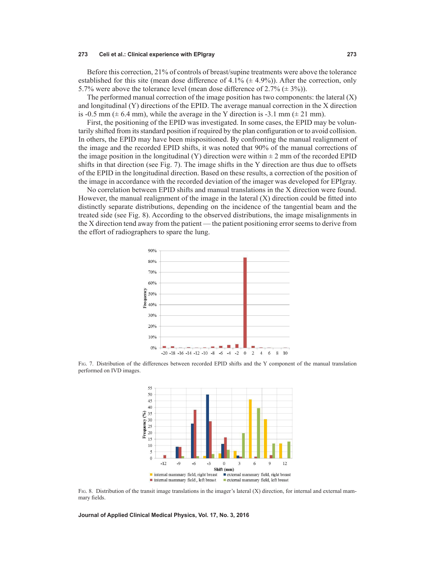Before this correction, 21% of controls of breast/supine treatments were above the tolerance established for this site (mean dose difference of 4.1%  $(\pm 4.9\%)$ ). After the correction, only 5.7% were above the tolerance level (mean dose difference of  $2.7\%$  ( $\pm$  3%)).

The performed manual correction of the image position has two components: the lateral  $(X)$ and longitudinal (Y) directions of the EPID. The average manual correction in the X direction is -0.5 mm ( $\pm$  6.4 mm), while the average in the Y direction is -3.1 mm ( $\pm$  21 mm).

First, the positioning of the EPID was investigated. In some cases, the EPID may be voluntarily shifted from its standard position if required by the plan configuration or to avoid collision. In others, the EPID may have been mispositioned. By confronting the manual realignment of the image and the recorded EPID shifts, it was noted that 90% of the manual corrections of the image position in the longitudinal (Y) direction were within  $\pm$  2 mm of the recorded EPID shifts in that direction (see Fig. 7). The image shifts in the Y direction are thus due to offsets of the EPID in the longitudinal direction. Based on these results, a correction of the position of the image in accordance with the recorded deviation of the imager was developed for EPIgray.

No correlation between EPID shifts and manual translations in the X direction were found. However, the manual realignment of the image in the lateral (X) direction could be fitted into distinctly separate distributions, depending on the incidence of the tangential beam and the treated side (see Fig. 8). According to the observed distributions, the image misalignments in the X direction tend away from the patient — the patient positioning error seems to derive from the effort of radiographers to spare the lung.



Fig. 7. Distribution of the differences between recorded EPID shifts and the Y component of the manual translation performed on IVD images.



Fig. 8. Distribution of the transit image translations in the imager's lateral (X) direction, for internal and external mammary fields.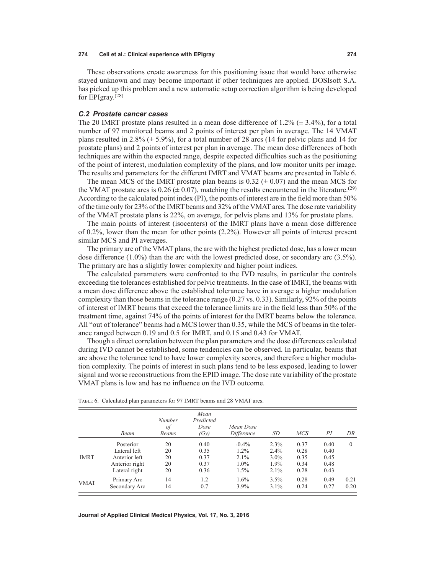These observations create awareness for this positioning issue that would have otherwise stayed unknown and may become important if other techniques are applied. DOSIsoft S.A. has picked up this problem and a new automatic setup correction algorithm is being developed for EPIgray. $(28)$ 

## *C.2 Prostate cancer cases*

The 20 IMRT prostate plans resulted in a mean dose difference of 1.2% ( $\pm$  3.4%), for a total number of 97 monitored beams and 2 points of interest per plan in average. The 14 VMAT plans resulted in 2.8% ( $\pm$  5.9%), for a total number of 28 arcs (14 for pelvic plans and 14 for prostate plans) and 2 points of interest per plan in average. The mean dose differences of both techniques are within the expected range, despite expected difficulties such as the positioning of the point of interest, modulation complexity of the plans, and low monitor units per image. The results and parameters for the different IMRT and VMAT beams are presented in Table 6.

The mean MCS of the IMRT prostate plan beams is  $0.32 \ (\pm 0.07)$  and the mean MCS for the VMAT prostate arcs is 0.26 ( $\pm$  0.07), matching the results encountered in the literature.<sup>(29)</sup> According to the calculated point index (PI), the points of interest are in the field more than 50% of the time only for 23% of the IMRT beams and 32% of the VMAT arcs. The dose rate variability of the VMAT prostate plans is 22%, on average, for pelvis plans and 13% for prostate plans.

The main points of interest (isocenters) of the IMRT plans have a mean dose difference of 0.2%, lower than the mean for other points (2.2%). However all points of interest present similar MCS and PI averages.

The primary arc of the VMAT plans, the arc with the highest predicted dose, has a lower mean dose difference (1.0%) than the arc with the lowest predicted dose, or secondary arc (3.5%). The primary arc has a slightly lower complexity and higher point indices.

The calculated parameters were confronted to the IVD results, in particular the controls exceeding the tolerances established for pelvic treatments. In the case of IMRT, the beams with a mean dose difference above the established tolerance have in average a higher modulation complexity than those beams in the tolerance range (0.27 vs. 0.33). Similarly, 92% of the points of interest of IMRT beams that exceed the tolerance limits are in the field less than 50% of the treatment time, against 74% of the points of interest for the IMRT beams below the tolerance. All "out of tolerance" beams had a MCS lower than 0.35, while the MCS of beams in the tolerance ranged between 0.19 and 0.5 for IMRT, and 0.15 and 0.43 for VMAT.

Though a direct correlation between the plan parameters and the dose differences calculated during IVD cannot be established, some tendencies can be observed. In particular, beams that are above the tolerance tend to have lower complexity scores, and therefore a higher modulation complexity. The points of interest in such plans tend to be less exposed, leading to lower signal and worse reconstructions from the EPID image. The dose rate variability of the prostate VMAT plans is low and has no influence on the IVD outcome.

|             | Beam           | Number<br>of<br>Beams | Mean<br>Predicted<br>Dose<br>(Gy) | Mean Dose<br>Difference | SD      | <b>MCS</b> | РI   | DR       |
|-------------|----------------|-----------------------|-----------------------------------|-------------------------|---------|------------|------|----------|
|             | Posterior      | 20                    | 0.40                              | $-0.4\%$                | 2.3%    | 0.37       | 0.40 | $\Omega$ |
|             | Lateral left   | 20                    | 0.35                              | $1.2\%$                 | 2.4%    | 0.28       | 0.40 |          |
| <b>IMRT</b> | Anterior left  | 20                    | 0.37                              | $2.1\%$                 | $3.0\%$ | 0.35       | 0.45 |          |
|             | Anterior right | 20                    | 0.37                              | $1.0\%$                 | 1.9%    | 0.34       | 0.48 |          |
|             | Lateral right  | 20                    | 0.36                              | $1.5\%$                 | 2.1%    | 0.28       | 0.43 |          |
| <b>VMAT</b> | Primary Arc    | 14                    | 1.2                               | $1.6\%$                 | $3.5\%$ | 0.28       | 0.49 | 0.21     |
|             | Secondary Arc  | 14                    | 0.7                               | $3.9\%$                 | $3.1\%$ | 0.24       | 0.27 | 0.20     |

Table 6. Calculated plan parameters for 97 IMRT beams and 28 VMAT arcs.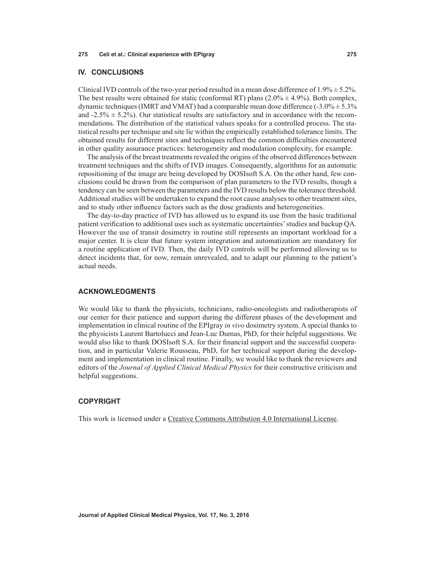# **IV. CONCLUSIONS**

Clinical IVD controls of the two-year period resulted in a mean dose difference of  $1.9\% \pm 5.2\%$ . The best results were obtained for static (conformal RT) plans  $(2.0\% \pm 4.9\%)$ . Both complex, dynamic techniques (IMRT and VMAT) had a comparable mean dose difference  $(-3.0\% \pm 5.3\%)$ and  $-2.5\% \pm 5.2\%$ ). Our statistical results are satisfactory and in accordance with the recommendations. The distribution of the statistical values speaks for a controlled process. The statistical results per technique and site lie within the empirically established tolerance limits. The obtained results for different sites and techniques reflect the common difficulties encountered in other quality assurance practices: heterogeneity and modulation complexity, for example.

The analysis of the breast treatments revealed the origins of the observed differences between treatment techniques and the shifts of IVD images. Consequently, algorithms for an automatic repositioning of the image are being developed by DOSIsoft S.A. On the other hand, few conclusions could be drawn from the comparison of plan parameters to the IVD results, though a tendency can be seen between the parameters and the IVD results below the tolerance threshold. Additional studies will be undertaken to expand the root cause analyses to other treatment sites, and to study other influence factors such as the dose gradients and heterogeneities.

The day-to-day practice of IVD has allowed us to expand its use from the basic traditional patient verification to additional uses such as systematic uncertainties' studies and backup QA. However the use of transit dosimetry in routine still represents an important workload for a major center. It is clear that future system integration and automatization are mandatory for a routine application of IVD. Then, the daily IVD controls will be performed allowing us to detect incidents that, for now, remain unrevealed, and to adapt our planning to the patient's actual needs.

# **ACKNOWLEDGMENTS**

We would like to thank the physicists, technicians, radio-oncologists and radiotherapists of our center for their patience and support during the different phases of the development and implementation in clinical routine of the EPIgray *in vivo* dosimetry system. A special thanks to the physicists Laurent Bartolucci and Jean-Luc Dumas, PhD, for their helpful suggestions. We would also like to thank DOSIsoft S.A. for their financial support and the successful cooperation, and in particular Valerie Rousseau, PhD, for her technical support during the development and implementation in clinical routine. Finally, we would like to thank the reviewers and editors of the *Journal of Applied Clinical Medical Physics* for their constructive criticism and helpful suggestions.

# **COPYRIGHT**

This work is licensed under a [Creative Commons Attribution 4.0 International License](https://urldefense.proofpoint.com/v2/url?u=http-3A__creativecommons.org_licenses_by_4.0_&d=AwMFAg&c=SgMrq23dbjbGX6e0ZsSHgEZX6A4IAf1SO3AJ2bNrHlk&r=W7OS2arm7HC48L0cStRk8JAVcS2AWyTd5bUny_O6-7c&m=hDRuSOqc1Cbkl69t1p0aHz0q45hql-wqyEEGFTlMX1c&s=dO6PKuPeKbNMnXOtW17q1Bu5mDb0OH2O3sDjKJmAJFc&e=).